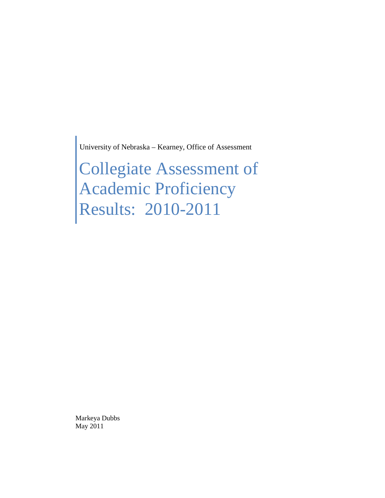University of Nebraska – Kearney, Office of Assessment

Collegiate Assessment of Academic Proficiency Results: 2010-2011

Markeya Dubbs May 2011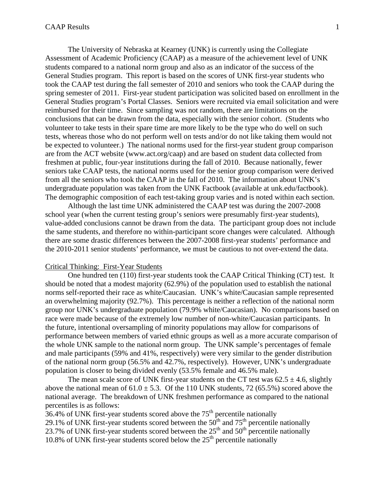The University of Nebraska at Kearney (UNK) is currently using the Collegiate Assessment of Academic Proficiency (CAAP) as a measure of the achievement level of UNK students compared to a national norm group and also as an indicator of the success of the General Studies program. This report is based on the scores of UNK first-year students who took the CAAP test during the fall semester of 2010 and seniors who took the CAAP during the spring semester of 2011. First-year student participation was solicited based on enrollment in the General Studies program's Portal Classes. Seniors were recruited via email solicitation and were reimbursed for their time. Since sampling was not random, there are limitations on the conclusions that can be drawn from the data, especially with the senior cohort. (Students who volunteer to take tests in their spare time are more likely to be the type who do well on such tests, whereas those who do not perform well on tests and/or do not like taking them would not be expected to volunteer.) The national norms used for the first-year student group comparison are from the ACT website (www.act.org/caap) and are based on student data collected from freshmen at public, four-year institutions during the fall of 2010. Because nationally, fewer seniors take CAAP tests, the national norms used for the senior group comparison were derived from all the seniors who took the CAAP in the fall of 2010. The information about UNK's undergraduate population was taken from the UNK Factbook (available at unk.edu/factbook). The demographic composition of each test-taking group varies and is noted within each section.

Although the last time UNK administered the CAAP test was during the 2007-2008 school year (when the current testing group's seniors were presumably first-year students), value-added conclusions cannot be drawn from the data. The participant group does not include the same students, and therefore no within-participant score changes were calculated. Although there are some drastic differences between the 2007-2008 first-year students' performance and the 2010-2011 senior students' performance, we must be cautious to not over-extend the data.

## Critical Thinking: First-Year Students

One hundred ten (110) first-year students took the CAAP Critical Thinking (CT) test. It should be noted that a modest majority (62.9%) of the population used to establish the national norms self-reported their race as white/Caucasian. UNK's white/Caucasian sample represented an overwhelming majority (92.7%). This percentage is neither a reflection of the national norm group nor UNK's undergraduate population (79.9% white/Caucasian). No comparisons based on race were made because of the extremely low number of non-white/Caucasian participants. In the future, intentional oversampling of minority populations may allow for comparisons of performance between members of varied ethnic groups as well as a more accurate comparison of the whole UNK sample to the national norm group. The UNK sample's percentages of female and male participants (59% and 41%, respectively) were very similar to the gender distribution of the national norm group (56.5% and 42.7%, respectively). However, UNK's undergraduate population is closer to being divided evenly (53.5% female and 46.5% male).

The mean scale score of UNK first-year students on the CT test was  $62.5 \pm 4.6$ , slightly above the national mean of  $61.0 \pm 5.3$ . Of the 110 UNK students, 72 (65.5%) scored above the national average. The breakdown of UNK freshmen performance as compared to the national percentiles is as follows:

 $36.4\%$  of UNK first-year students scored above the  $75<sup>th</sup>$  percentile nationally 29.1% of UNK first-year students scored between the  $50<sup>th</sup>$  and  $75<sup>th</sup>$  percentile nationally 23.7% of UNK first-year students scored between the  $25<sup>th</sup>$  and  $50<sup>th</sup>$  percentile nationally 10.8% of UNK first-year students scored below the  $25<sup>th</sup>$  percentile nationally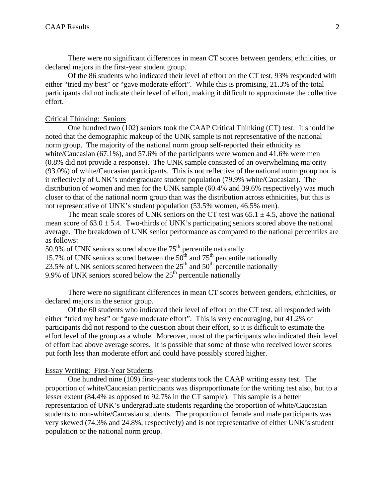There were no significant differences in mean CT scores between genders, ethnicities, or declared majors in the first-year student group.

Of the 86 students who indicated their level of effort on the CT test, 93% responded with either "tried my best" or "gave moderate effort". While this is promising, 21.3% of the total participants did not indicate their level of effort, making it difficult to approximate the collective effort.

### Critical Thinking: Seniors

One hundred two (102) seniors took the CAAP Critical Thinking (CT) test. It should be noted that the demographic makeup of the UNK sample is not representative of the national norm group. The majority of the national norm group self-reported their ethnicity as white/Caucasian (67.1%), and 57.6% of the participants were women and 41.6% were men (0.8% did not provide a response). The UNK sample consisted of an overwhelming majority (93.0%) of white/Caucasian participants. This is not reflective of the national norm group nor is it reflectively of UNK's undergraduate student population (79.9% white/Caucasian). The distribution of women and men for the UNK sample (60.4% and 39.6% respectively) was much closer to that of the national norm group than was the distribution across ethnicities, but this is not representative of UNK's student population (53.5% women, 46.5% men).

The mean scale scores of UNK seniors on the CT test was  $65.1 \pm 4.5$ , above the national mean score of  $63.0 \pm 5.4$ . Two-thirds of UNK's participating seniors scored above the national average. The breakdown of UNK senior performance as compared to the national percentiles are as follows:

50.9% of UNK seniors scored above the  $75<sup>th</sup>$  percentile nationally 15.7% of UNK seniors scored between the  $50<sup>th</sup>$  and  $75<sup>th</sup>$  percentile nationally 23.5% of UNK seniors scored between the  $25<sup>th</sup>$  and  $50<sup>th</sup>$  percentile nationally 9.9% of UNK seniors scored below the  $25<sup>th</sup>$  percentile nationally

There were no significant differences in mean CT scores between genders, ethnicities, or declared majors in the senior group.

Of the 60 students who indicated their level of effort on the CT test, all responded with either "tried my best" or "gave moderate effort". This is very encouraging, but 41.2% of participants did not respond to the question about their effort, so it is difficult to estimate the effort level of the group as a whole. Moreover, most of the participants who indicated their level of effort had above average scores. It is possible that some of those who received lower scores put forth less than moderate effort and could have possibly scored higher.

#### Essay Writing: First-Year Students

One hundred nine (109) first-year students took the CAAP writing essay test. The proportion of white/Caucasian participants was disproportionate for the writing test also, but to a lesser extent (84.4% as opposed to 92.7% in the CT sample). This sample is a better representation of UNK's undergraduate students regarding the proportion of white/Caucasian students to non-white/Caucasian students. The proportion of female and male participants was very skewed (74.3% and 24.8%, respectively) and is not representative of either UNK's student population or the national norm group.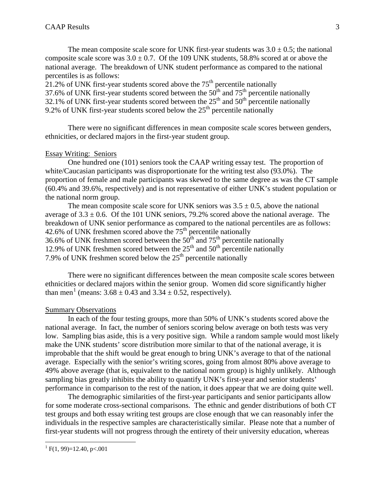The mean composite scale score for UNK first-year students was  $3.0 \pm 0.5$ ; the national composite scale score was  $3.0 \pm 0.7$ . Of the 109 UNK students, 58.8% scored at or above the national average. The breakdown of UNK student performance as compared to the national percentiles is as follows:

21.2% of UNK first-year students scored above the  $75<sup>th</sup>$  percentile nationally 37.6% of UNK first-year students scored between the  $50<sup>th</sup>$  and  $75<sup>th</sup>$  percentile nationally 32.1% of UNK first-year students scored between the  $25<sup>th</sup>$  and  $50<sup>th</sup>$  percentile nationally 9.2% of UNK first-year students scored below the  $25<sup>th</sup>$  percentile nationally

There were no significant differences in mean composite scale scores between genders, ethnicities, or declared majors in the first-year student group.

#### Essay Writing: Seniors

One hundred one (101) seniors took the CAAP writing essay test. The proportion of white/Caucasian participants was disproportionate for the writing test also (93.0%). The proportion of female and male participants was skewed to the same degree as was the CT sample (60.4% and 39.6%, respectively) and is not representative of either UNK's student population or the national norm group.

The mean composite scale score for UNK seniors was  $3.5 \pm 0.5$ , above the national average of  $3.3 \pm 0.6$ . Of the 101 UNK seniors, 79.2% scored above the national average. The breakdown of UNK senior performance as compared to the national percentiles are as follows: 42.6% of UNK freshmen scored above the 75<sup>th</sup> percentile nationally 36.6% of UNK freshmen scored between the  $50<sup>th</sup>$  and  $75<sup>th</sup>$  percentile nationally 12.9% of UNK freshmen scored between the  $25<sup>th</sup>$  and  $50<sup>th</sup>$  percentile nationally 7.9% of UNK freshmen scored below the  $25<sup>th</sup>$  percentile nationally

There were no significant differences between the mean composite scale scores between ethnicities or declared majors within the senior group. Women did score significantly higher than men<sup>[1](#page-3-0)</sup> (means:  $3.68 \pm 0.43$  and  $3.34 \pm 0.52$ , respectively).

#### Summary Observations

In each of the four testing groups, more than 50% of UNK's students scored above the national average. In fact, the number of seniors scoring below average on both tests was very low. Sampling bias aside, this is a very positive sign. While a random sample would most likely make the UNK students' score distribution more similar to that of the national average, it is improbable that the shift would be great enough to bring UNK's average to that of the national average. Especially with the senior's writing scores, going from almost 80% above average to 49% above average (that is, equivalent to the national norm group) is highly unlikely. Although sampling bias greatly inhibits the ability to quantify UNK's first-year and senior students' performance in comparison to the rest of the nation, it does appear that we are doing quite well.

The demographic similarities of the first-year participants and senior participants allow for some moderate cross-sectional comparisons. The ethnic and gender distributions of both CT test groups and both essay writing test groups are close enough that we can reasonably infer the individuals in the respective samples are characteristically similar. Please note that a number of first-year students will not progress through the entirety of their university education, whereas

l

<span id="page-3-0"></span> $<sup>1</sup>$  F(1, 99)=12.40, p<.001</sup>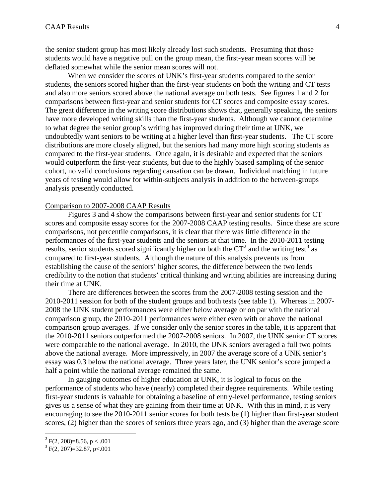the senior student group has most likely already lost such students. Presuming that those students would have a negative pull on the group mean, the first-year mean scores will be deflated somewhat while the senior mean scores will not.

When we consider the scores of UNK's first-year students compared to the senior students, the seniors scored higher than the first-year students on both the writing and CT tests and also more seniors scored above the national average on both tests. See figures 1 and 2 for comparisons between first-year and senior students for CT scores and composite essay scores. The great difference in the writing score distributions shows that, generally speaking, the seniors have more developed writing skills than the first-year students. Although we cannot determine to what degree the senior group's writing has improved during their time at UNK, we undoubtedly want seniors to be writing at a higher level than first-year students. The CT score distributions are more closely aligned, but the seniors had many more high scoring students as compared to the first-year students. Once again, it is desirable and expected that the seniors would outperform the first-year students, but due to the highly biased sampling of the senior cohort, no valid conclusions regarding causation can be drawn. Individual matching in future years of testing would allow for within-subjects analysis in addition to the between-groups analysis presently conducted.

#### Comparison to 2007-2008 CAAP Results

Figures 3 and 4 show the comparisons between first-year and senior students for CT scores and composite essay scores for the 2007-2008 CAAP testing results. Since these are score comparisons, not percentile comparisons, it is clear that there was little difference in the performances of the first-year students and the seniors at that time. In the 2010-2011 testing results, senior students scored significantly higher on both the  $CT^2$  $CT^2$  and the writing test<sup>[3](#page-4-1)</sup> as compared to first-year students. Although the nature of this analysis prevents us from establishing the cause of the seniors' higher scores, the difference between the two lends credibility to the notion that students' critical thinking and writing abilities are increasing during their time at UNK.

There are differences between the scores from the 2007-2008 testing session and the 2010-2011 session for both of the student groups and both tests (see table 1). Whereas in 2007- 2008 the UNK student performances were either below average or on par with the national comparison group, the 2010-2011 performances were either even with or above the national comparison group averages. If we consider only the senior scores in the table, it is apparent that the 2010-2011 seniors outperformed the 2007-2008 seniors. In 2007, the UNK senior CT scores were comparable to the national average. In 2010, the UNK seniors averaged a full two points above the national average. More impressively, in 2007 the average score of a UNK senior's essay was 0.3 below the national average. Three years later, the UNK senior's score jumped a half a point while the national average remained the same.

In gauging outcomes of higher education at UNK, it is logical to focus on the performance of students who have (nearly) completed their degree requirements. While testing first-year students is valuable for obtaining a baseline of entry-level performance, testing seniors gives us a sense of what they are gaining from their time at UNK. With this in mind, it is very encouraging to see the 2010-2011 senior scores for both tests be (1) higher than first-year student scores, (2) higher than the scores of seniors three years ago, and (3) higher than the average score

<span id="page-4-0"></span> $^{2}$  F(2, 208)=8.56, p < .001

<span id="page-4-1"></span> $3 F(2, 207) = 32.87$ , p<.001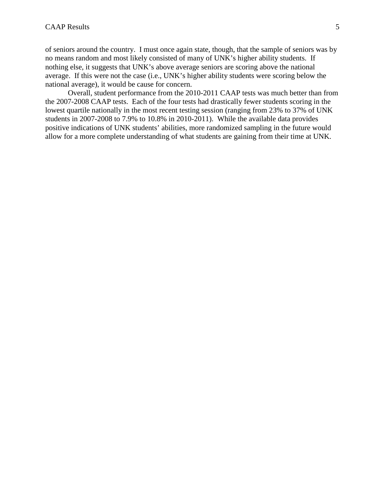of seniors around the country. I must once again state, though, that the sample of seniors was by no means random and most likely consisted of many of UNK's higher ability students. If nothing else, it suggests that UNK's above average seniors are scoring above the national average. If this were not the case (i.e., UNK's higher ability students were scoring below the national average), it would be cause for concern.

Overall, student performance from the 2010-2011 CAAP tests was much better than from the 2007-2008 CAAP tests. Each of the four tests had drastically fewer students scoring in the lowest quartile nationally in the most recent testing session (ranging from 23% to 37% of UNK students in 2007-2008 to 7.9% to 10.8% in 2010-2011). While the available data provides positive indications of UNK students' abilities, more randomized sampling in the future would allow for a more complete understanding of what students are gaining from their time at UNK.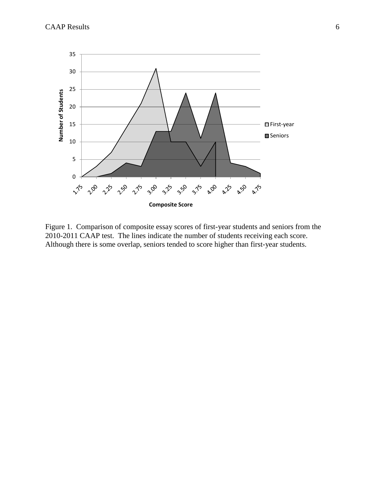

Figure 1. Comparison of composite essay scores of first-year students and seniors from the 2010-2011 CAAP test. The lines indicate the number of students receiving each score. Although there is some overlap, seniors tended to score higher than first-year students.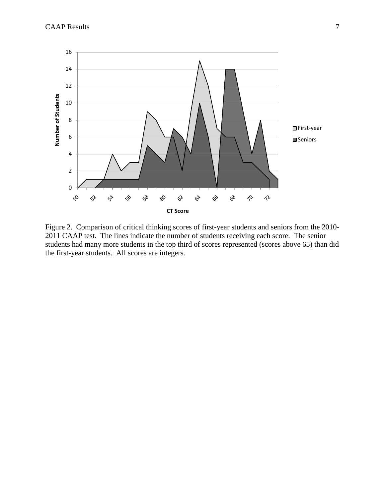

Figure 2. Comparison of critical thinking scores of first-year students and seniors from the 2010- 2011 CAAP test. The lines indicate the number of students receiving each score. The senior students had many more students in the top third of scores represented (scores above 65) than did the first-year students. All scores are integers.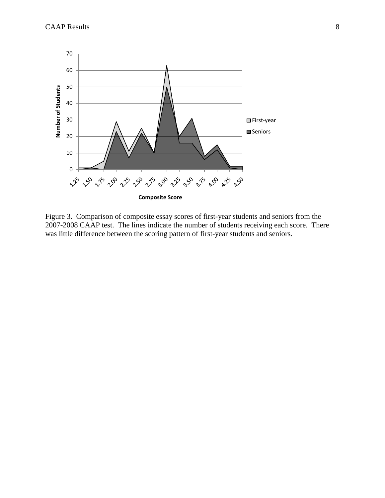

Figure 3. Comparison of composite essay scores of first-year students and seniors from the 2007-2008 CAAP test. The lines indicate the number of students receiving each score. There was little difference between the scoring pattern of first-year students and seniors.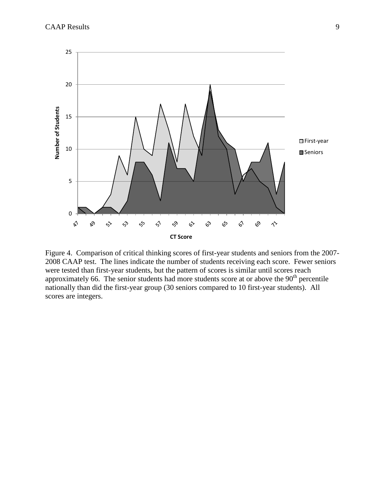

Figure 4. Comparison of critical thinking scores of first-year students and seniors from the 2007- 2008 CAAP test. The lines indicate the number of students receiving each score. Fewer seniors were tested than first-year students, but the pattern of scores is similar until scores reach approximately 66. The senior students had more students score at or above the  $90<sup>th</sup>$  percentile nationally than did the first-year group (30 seniors compared to 10 first-year students). All scores are integers.